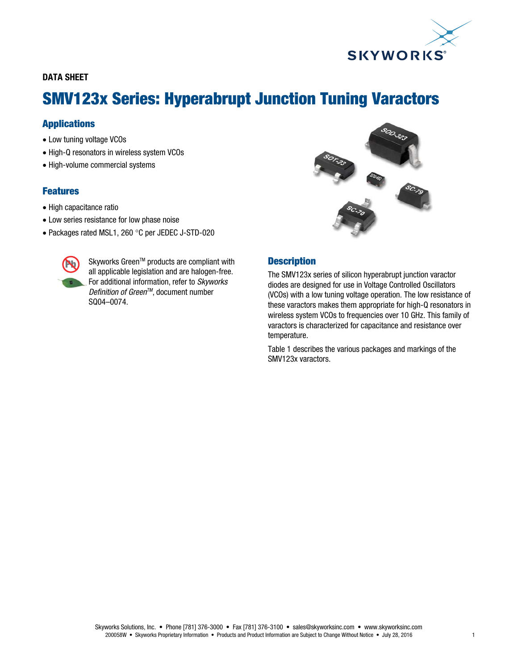

## DATA SHEET

# SMV123x Series: Hyperabrupt Junction Tuning Varactors

## Applications

- Low tuning voltage VCOs
- High-Q resonators in wireless system VCOs
- High-volume commercial systems

## Features

- High capacitance ratio
- Low series resistance for low phase noise
- Packages rated MSL1, 260 °C per JEDEC J-STD-020



Skyworks Green™ products are compliant with all applicable legislation and are halogen-free. For additional information, refer to Skyworks Definition of Green™, document number SQ04–0074.



#### **Description**

The SMV123x series of silicon hyperabrupt junction varactor diodes are designed for use in Voltage Controlled Oscillators (VCOs) with a low tuning voltage operation. The low resistance of these varactors makes them appropriate for high-Q resonators in wireless system VCOs to frequencies over 10 GHz. This family of varactors is characterized for capacitance and resistance over temperature.

Table 1 describes the various packages and markings of the SMV123x varactors.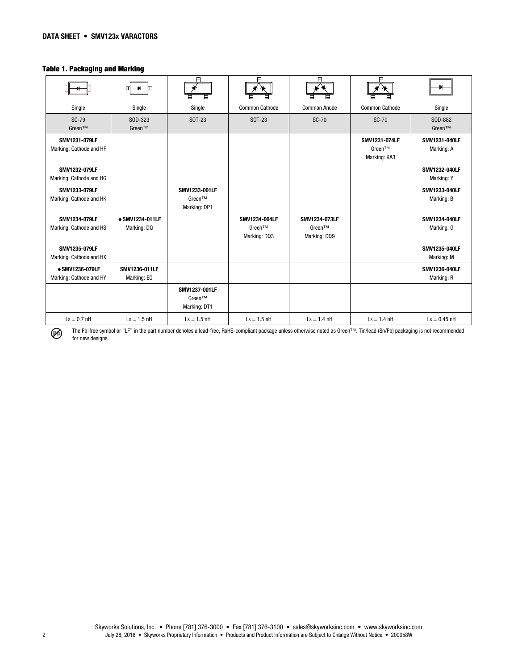#### Table 1. Packaging and Marking

|                                            |                                | 日<br>Ħ                                  | 日                                       | 曰                                       | 日                                       |                             |
|--------------------------------------------|--------------------------------|-----------------------------------------|-----------------------------------------|-----------------------------------------|-----------------------------------------|-----------------------------|
| Single                                     | Single                         | Single                                  | <b>Common Cathode</b>                   | Common Anode                            | Common Cathode                          | Single                      |
| <b>SC-79</b><br>Green™                     | SOD-323<br>Green™              | SOT-23                                  | SOT-23                                  | <b>SC-70</b>                            | <b>SC-70</b>                            | SOD-882<br>Green™           |
| SMV1231-079LF<br>Marking: Cathode and HF   |                                |                                         |                                         |                                         | SMV1231-074LF<br>Green™<br>Marking: KA3 | SMV1231-040LF<br>Marking: A |
| SMV1232-079LF<br>Marking: Cathode and HG   |                                |                                         |                                         |                                         |                                         | SMV1232-040LF<br>Marking: Y |
| SMV1233-079LF<br>Marking: Cathode and HK   |                                | SMV1233-001LF<br>Green™<br>Marking: DP1 |                                         |                                         |                                         | SMV1233-040LF<br>Marking: B |
| SMV1234-079LF<br>Marking: Cathode and HS   | ◆ SMV1234-011LF<br>Marking: DQ |                                         | SMV1234-004LF<br>Green™<br>Marking: DQ3 | SMV1234-073LF<br>Green™<br>Marking: DQ9 |                                         | SMV1234-040LF<br>Marking: G |
| SMV1235-079LF<br>Marking: Cathode and HX   |                                |                                         |                                         |                                         |                                         | SMV1235-040LF<br>Marking: M |
| ◆ SMV1236-079LF<br>Marking: Cathode and HY | SMV1236-011LF<br>Marking: EQ   |                                         |                                         |                                         |                                         | SMV1236-040LF<br>Marking: R |
|                                            |                                | SMV1237-001LF<br>Green™<br>Marking: DT1 |                                         |                                         |                                         |                             |
| $\text{Ls} = 0.7 \text{ nH}$               | $\text{Ls} = 1.5 \text{ nH}$   | $Ls = 1.5$ nH                           | $Ls = 1.5$ nH                           | $\text{Ls} = 1.4 \text{ nH}$            | $Ls = 1.4$ nH                           | $Ls = 0.45$ nH              |

网

The Pb-free symbol or "LF" in the part number denotes a lead-free, RoHS-compliant package unless otherwise noted as Green™. Tin/lead (Sn/Pb) packaging is not recommended for new designs.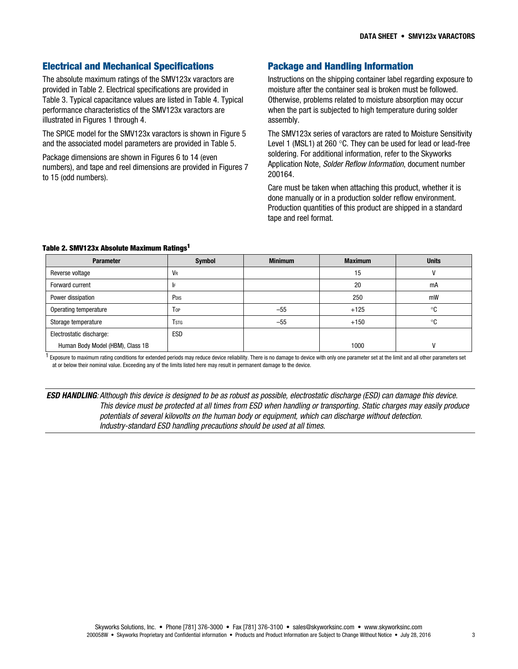#### Electrical and Mechanical Specifications

The absolute maximum ratings of the SMV123x varactors are provided in Table 2. Electrical specifications are provided in Table 3. Typical capacitance values are listed in Table 4. Typical performance characteristics of the SMV123x varactors are illustrated in Figures 1 through 4.

The SPICE model for the SMV123x varactors is shown in Figure 5 and the associated model parameters are provided in Table 5.

Package dimensions are shown in Figures 6 to 14 (even numbers), and tape and reel dimensions are provided in Figures 7 to 15 (odd numbers).

#### Package and Handling Information

Instructions on the shipping container label regarding exposure to moisture after the container seal is broken must be followed. Otherwise, problems related to moisture absorption may occur when the part is subjected to high temperature during solder assembly.

The SMV123x series of varactors are rated to Moisture Sensitivity Level 1 (MSL1) at 260  $\degree$ C. They can be used for lead or lead-free soldering. For additional information, refer to the Skyworks Application Note, Solder Reflow Information, document number 200164.

Care must be taken when attaching this product, whether it is done manually or in a production solder reflow environment. Production quantities of this product are shipped in a standard tape and reel format.

#### Table 2. SMV123x Absolute Maximum Ratings1

| <b>Parameter</b>                 | <b>Symbol</b>           | <b>Minimum</b> | <b>Maximum</b> | <b>Units</b> |
|----------------------------------|-------------------------|----------------|----------------|--------------|
| Reverse voltage                  | <b>V</b> <sub>R</sub>   |                | 15             |              |
| Forward current                  | IF                      |                | 20             | mA           |
| Power dissipation                | P <sub>DIS</sub>        |                | 250            | mW           |
| Operating temperature            | Top                     | $-55$          | $+125$         | ∘c           |
| Storage temperature              | <b>T</b> <sub>STG</sub> | $-55$          | $+150$         | ∘c           |
| Electrostatic discharge:         | <b>ESD</b>              |                |                |              |
| Human Body Model (HBM), Class 1B |                         |                | 1000           |              |

 $1$  Exposure to maximum rating conditions for extended periods may reduce device reliability. There is no damage to device with only one parameter set at the limit and all other parameters set at or below their nominal value. Exceeding any of the limits listed here may result in permanent damage to the device.

ESD HANDLING: Although this device is designed to be as robust as possible, electrostatic discharge (ESD) can damage this device. This device must be protected at all times from ESD when handling or transporting. Static charges may easily produce potentials of several kilovolts on the human body or equipment, which can discharge without detection. Industry-standard ESD handling precautions should be used at all times.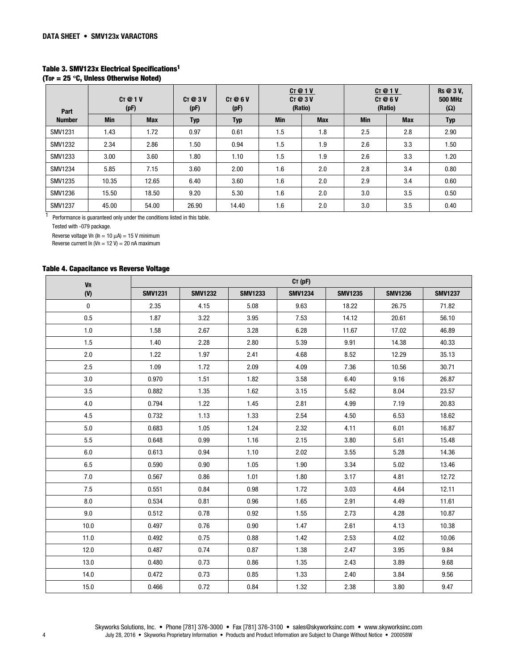# Table 3. SMV123x Electrical Specifications1

(Top = 25  $\degree$ C, Unless Otherwise Noted)

| Part           | C T @ 1 V<br>(pF) |            | CT@3V<br>(pF) | CT@6V<br>(pF) | CT@3V      | CT@1V<br>(Ratio) |            | CT@1V<br>CT@6V<br>(Ratio) | Rs @ 3 V,<br><b>500 MHz</b><br>$(\Omega)$ |
|----------------|-------------------|------------|---------------|---------------|------------|------------------|------------|---------------------------|-------------------------------------------|
| <b>Number</b>  | <b>Min</b>        | <b>Max</b> | Typ           | <b>Typ</b>    | <b>Min</b> | <b>Max</b>       | <b>Min</b> | <b>Max</b>                | <b>Typ</b>                                |
| SMV1231        | 1.43              | 1.72       | 0.97          | 0.61          | 1.5        | 1.8              | 2.5        | 2.8                       | 2.90                                      |
| <b>SMV1232</b> | 2.34              | 2.86       | 1.50          | 0.94          | 1.5        | 1.9              | 2.6        | 3.3                       | 1.50                                      |
| SMV1233        | 3.00              | 3.60       | 1.80          | 1.10          | 1.5        | 1.9              | 2.6        | 3.3                       | 1.20                                      |
| SMV1234        | 5.85              | 7.15       | 3.60          | 2.00          | 1.6        | 2.0              | 2.8        | 3.4                       | 0.80                                      |
| SMV1235        | 10.35             | 12.65      | 6.40          | 3.60          | 1.6        | 2.0              | 2.9        | 3.4                       | 0.60                                      |
| SMV1236        | 15.50             | 18.50      | 9.20          | 5.30          | 1.6        | 2.0              | 3.0        | 3.5                       | 0.50                                      |
| <b>SMV1237</b> | 45.00             | 54.00      | 26.90         | 14.40         | 1.6        | 2.0              | 3.0        | 3.5                       | 0.40                                      |

1 Performance is guaranteed only under the conditions listed in this table.

Tested with -079 package.

Reverse voltage VR ( $IR = 10 \mu A$ ) = 15 V minimum

Reverse current IR ( $VR = 12 V$ ) = 20 nA maximum

#### Table 4. Capacitance vs Reverse Voltage

| <b>VR</b>   | CT(pF)         |                |                |                |                |                |                |  |  |
|-------------|----------------|----------------|----------------|----------------|----------------|----------------|----------------|--|--|
| (V)         | <b>SMV1231</b> | <b>SMV1232</b> | <b>SMV1233</b> | <b>SMV1234</b> | <b>SMV1235</b> | <b>SMV1236</b> | <b>SMV1237</b> |  |  |
| $\mathbf 0$ | 2.35           | 4.15           | 5.08           | 9.63           | 18.22          | 26.75          | 71.82          |  |  |
| 0.5         | 1.87           | 3.22           | 3.95           | 7.53           | 14.12          | 20.61          | 56.10          |  |  |
| $1.0\,$     | 1.58           | 2.67           | 3.28           | 6.28           | 11.67          | 17.02          | 46.89          |  |  |
| 1.5         | 1.40           | 2.28           | 2.80           | 5.39           | 9.91           | 14.38          | 40.33          |  |  |
| 2.0         | 1.22           | 1.97           | 2.41           | 4.68           | 8.52           | 12.29          | 35.13          |  |  |
| 2.5         | 1.09           | 1.72           | 2.09           | 4.09           | 7.36           | 10.56          | 30.71          |  |  |
| 3.0         | 0.970          | 1.51           | 1.82           | 3.58           | 6.40           | 9.16           | 26.87          |  |  |
| 3.5         | 0.882          | 1.35           | 1.62           | 3.15           | 5.62           | 8.04           | 23.57          |  |  |
| 4.0         | 0.794          | 1.22           | 1.45           | 2.81           | 4.99           | 7.19           | 20.83          |  |  |
| 4.5         | 0.732          | 1.13           | 1.33           | 2.54           | 4.50           | 6.53           | 18.62          |  |  |
| 5.0         | 0.683          | 1.05           | 1.24           | 2.32           | 4.11           | 6.01           | 16.87          |  |  |
| 5.5         | 0.648          | 0.99           | 1.16           | 2.15           | 3.80           | 5.61           | 15.48          |  |  |
| 6.0         | 0.613          | 0.94           | 1.10           | 2.02           | 3.55           | 5.28           | 14.36          |  |  |
| 6.5         | 0.590          | 0.90           | 1.05           | 1.90           | 3.34           | 5.02           | 13.46          |  |  |
| 7.0         | 0.567          | 0.86           | 1.01           | 1.80           | 3.17           | 4.81           | 12.72          |  |  |
| 7.5         | 0.551          | 0.84           | 0.98           | 1.72           | 3.03           | 4.64           | 12.11          |  |  |
| 8.0         | 0.534          | 0.81           | 0.96           | 1.65           | 2.91           | 4.49           | 11.61          |  |  |
| 9.0         | 0.512          | 0.78           | 0.92           | 1.55           | 2.73           | 4.28           | 10.87          |  |  |
| 10.0        | 0.497          | 0.76           | 0.90           | 1.47           | 2.61           | 4.13           | 10.38          |  |  |
| 11.0        | 0.492          | 0.75           | 0.88           | 1.42           | 2.53           | 4.02           | 10.06          |  |  |
| 12.0        | 0.487          | 0.74           | 0.87           | 1.38           | 2.47           | 3.95           | 9.84           |  |  |
| 13.0        | 0.480          | 0.73           | 0.86           | 1.35           | 2.43           | 3.89           | 9.68           |  |  |
| 14.0        | 0.472          | 0.73           | 0.85           | 1.33           | 2.40           | 3.84           | 9.56           |  |  |
| 15.0        | 0.466          | 0.72           | 0.84           | 1.32           | 2.38           | 3.80           | 9.47           |  |  |

Skyworks Solutions, Inc. • Phone [781] 376-3000 • Fax [781] 376-3100 • sales@skyworksinc.com • www.skyworksinc.com 4 July 28, 2016 • Skyworks Proprietary Information • Products and Product Information are Subject to Change Without Notice • 200058W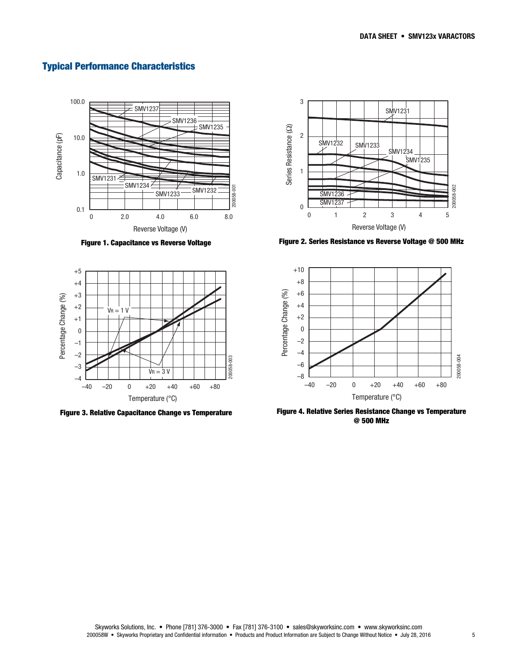# Typical Performance Characteristics



Figure 1. Capacitance vs Reverse Voltage



Figure 3. Relative Capacitance Change vs Temperature



Figure 2. Series Resistance vs Reverse Voltage @ 500 MHz



Figure 4. Relative Series Resistance Change vs Temperature @ 500 MHz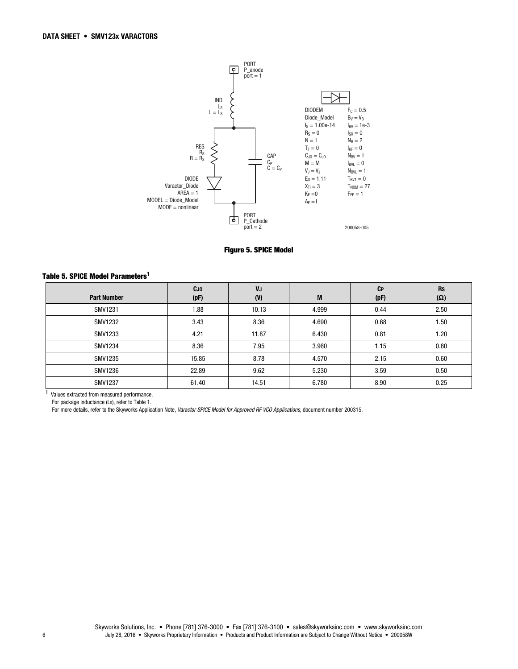

Figure 5. SPICE Model

#### Table 5. SPICE Model Parameters1

| <b>Part Number</b> | CJO<br>(pF) | VJ<br>(V) | M     | <b>CP</b><br>(pF) | <b>Rs</b><br>$(\Omega)$ |
|--------------------|-------------|-----------|-------|-------------------|-------------------------|
| SMV1231            | 1.88        | 10.13     | 4.999 | 0.44              | 2.50                    |
| <b>SMV1232</b>     | 3.43        | 8.36      | 4.690 | 0.68              | 1.50                    |
| SMV1233            | 4.21        | 11.87     | 6.430 | 0.81              | 1.20                    |
| SMV1234            | 8.36        | 7.95      | 3.960 | 1.15              | 0.80                    |
| SMV1235            | 15.85       | 8.78      | 4.570 | 2.15              | 0.60                    |
| SMV1236            | 22.89       | 9.62      | 5.230 | 3.59              | 0.50                    |
| <b>SMV1237</b>     | 61.40       | 14.51     | 6.780 | 8.90              | 0.25                    |

 $\frac{1}{1}$  Values extracted from measured performance.

For package inductance (LS), refer to Table 1.

For more details, refer to the Skyworks Application Note, Varactor SPICE Model for Approved RF VCO Applications, document number 200315.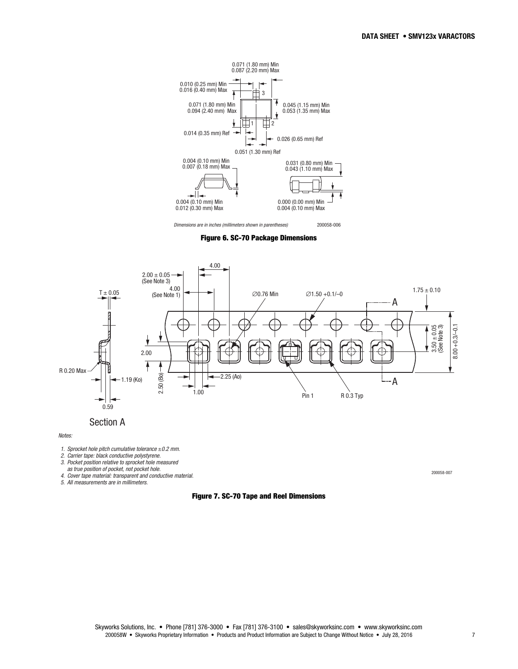

Figure 6. SC-70 Package Dimensions



1. Sprocket hole pitch cumulative tolerance  $\pm$  0.2 mm.

2. Carrier tape: black conductive polystyrene.

3. Pocket position relative to sprocket hole measured as true position of pocket, not pocket hole. 4. Cover tape material: transparent and conductive material.

5. All measurements are in millimeters.



200058-007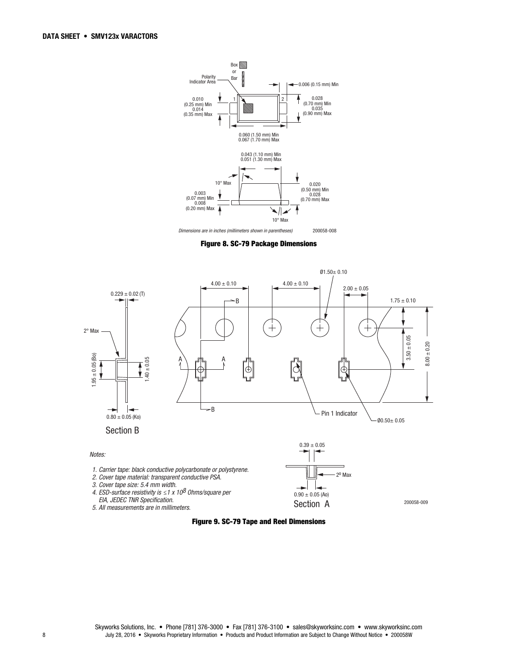

Figure 8. SC-79 Package Dimensions



Figure 9. SC-79 Tape and Reel Dimensions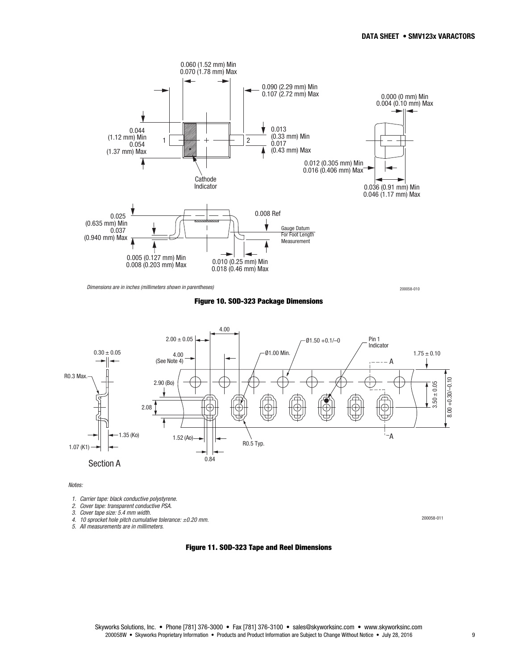

Dimensions are in inches (millimeters shown in parentheses) 200058-010





Notes:

- 1. Carrier tape: black conductive polystyrene.
- 2. Cover tape: transparent conductive PSA.
- 3. Cover tape size: 5.4 mm width.
- 4. 10 sprocket hole pitch cumulative tolerance:  $\pm 0.20$  mm.
- 5. All measurements are in millimeters.



200058-011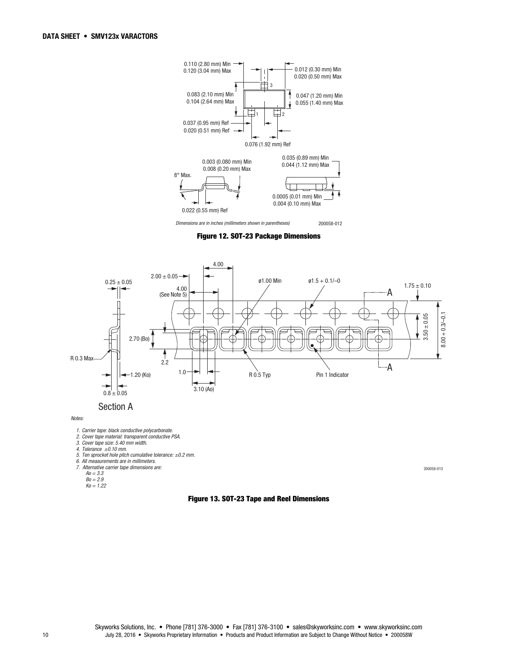

Figure 12. SOT-23 Package Dimensions



3. Cover tape size: 5.40 mm width. 4. Tolerance ±0.10 mm. 5. Ten sprocket hole pitch cumulative tolerance: ±0.2 mm.

6. All measurements are in millimeters.

7. Alternative carrier tape dimensions are: Ao = 3.3

 $Bo = 2.9$ 

 $Ko = 1.22$ 



200058-013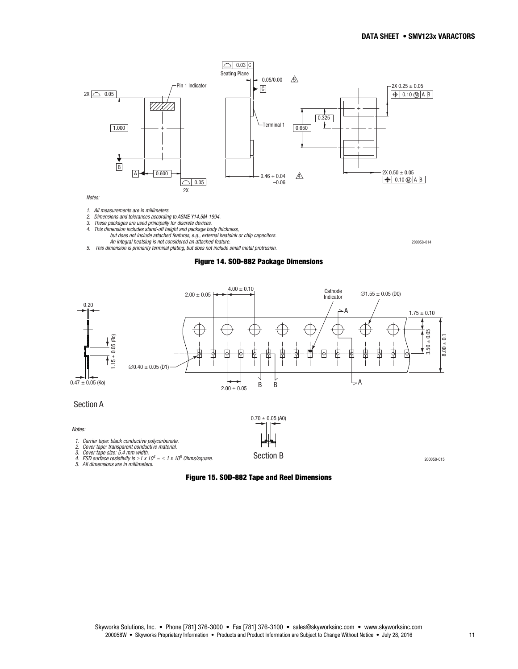

- 1. All measurements are in millimeters.
- 2. Dimensions and tolerances according to ASME Y14.5M-1994.
- 3. These packages are used principally for discrete devices.
- 4. This dimension includes stand-off height and package body thickness,
	- but does not include attached features, e.g., external heatsink or chip capacitors.
- An integral heatslug is not considered an attached feature. 5. This dimension is primarily terminal plating, but does not include small metal protrusion.

200058-014

#### Figure 14. SOD-882 Package Dimensions



Figure 15. SOD-882 Tape and Reel Dimensions